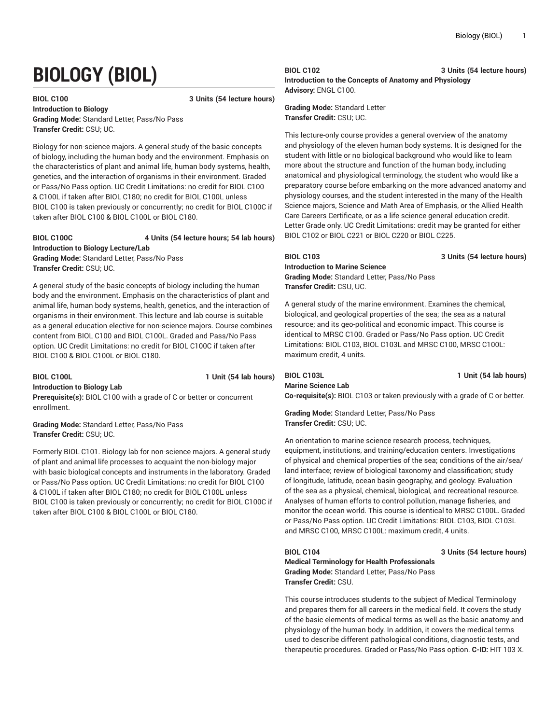# **BIOLOGY (BIOL)**

#### **BIOL C100 3 Units (54 lecture hours)**

**Introduction to Biology Grading Mode:** Standard Letter, Pass/No Pass **Transfer Credit:** CSU; UC.

Biology for non-science majors. A general study of the basic concepts of biology, including the human body and the environment. Emphasis on the characteristics of plant and animal life, human body systems, health, genetics, and the interaction of organisms in their environment. Graded or Pass/No Pass option. UC Credit Limitations: no credit for BIOL C100 & C100L if taken after BIOL C180; no credit for BIOL C100L unless BIOL C100 is taken previously or concurrently; no credit for BIOL C100C if taken after BIOL C100 & BIOL C100L or BIOL C180.

### **BIOL C100C 4 Units (54 lecture hours; 54 lab hours) Introduction to Biology Lecture/Lab**

**Grading Mode:** Standard Letter, Pass/No Pass **Transfer Credit:** CSU; UC.

A general study of the basic concepts of biology including the human body and the environment. Emphasis on the characteristics of plant and animal life, human body systems, health, genetics, and the interaction of organisms in their environment. This lecture and lab course is suitable as a general education elective for non-science majors. Course combines content from BIOL C100 and BIOL C100L. Graded and Pass/No Pass option. UC Credit Limitations: no credit for BIOL C100C if taken after BIOL C100 & BIOL C100L or BIOL C180.

**Introduction to Biology Lab**

**BIOL C100L 1 Unit (54 lab hours)**

**Prerequisite(s):** BIOL C100 with a grade of C or better or concurrent enrollment.

**Grading Mode:** Standard Letter, Pass/No Pass **Transfer Credit:** CSU; UC.

Formerly BIOL C101. Biology lab for non-science majors. A general study of plant and animal life processes to acquaint the non-biology major with basic biological concepts and instruments in the laboratory. Graded or Pass/No Pass option. UC Credit Limitations: no credit for BIOL C100 & C100L if taken after BIOL C180; no credit for BIOL C100L unless BIOL C100 is taken previously or concurrently; no credit for BIOL C100C if taken after BIOL C100 & BIOL C100L or BIOL C180.

**BIOL C102 3 Units (54 lecture hours) Introduction to the Concepts of Anatomy and Physiology Advisory:** ENGL C100.

**Grading Mode:** Standard Letter **Transfer Credit:** CSU; UC.

This lecture-only course provides a general overview of the anatomy and physiology of the eleven human body systems. It is designed for the student with little or no biological background who would like to learn more about the structure and function of the human body, including anatomical and physiological terminology, the student who would like a preparatory course before embarking on the more advanced anatomy and physiology courses, and the student interested in the many of the Health Science majors, Science and Math Area of Emphasis, or the Allied Health Care Careers Certificate, or as a life science general education credit. Letter Grade only. UC Credit Limitations: credit may be granted for either BIOL C102 or BIOL C221 or BIOL C220 or BIOL C225.

**BIOL C103 3 Units (54 lecture hours)**

**Introduction to Marine Science Grading Mode:** Standard Letter, Pass/No Pass **Transfer Credit:** CSU, UC.

A general study of the marine environment. Examines the chemical, biological, and geological properties of the sea; the sea as a natural resource; and its geo-political and economic impact. This course is identical to MRSC C100. Graded or Pass/No Pass option. UC Credit Limitations: BIOL C103, BIOL C103L and MRSC C100, MRSC C100L: maximum credit, 4 units.

**BIOL C103L 1 Unit (54 lab hours) Marine Science Lab**

**Co-requisite(s):** BIOL C103 or taken previously with a grade of C or better.

**Grading Mode:** Standard Letter, Pass/No Pass **Transfer Credit:** CSU; UC.

An orientation to marine science research process, techniques, equipment, institutions, and training/education centers. Investigations of physical and chemical properties of the sea; conditions of the air/sea/ land interface; review of biological taxonomy and classification; study of longitude, latitude, ocean basin geography, and geology. Evaluation of the sea as a physical, chemical, biological, and recreational resource. Analyses of human efforts to control pollution, manage fisheries, and monitor the ocean world. This course is identical to MRSC C100L. Graded or Pass/No Pass option. UC Credit Limitations: BIOL C103, BIOL C103L and MRSC C100, MRSC C100L: maximum credit, 4 units.

**BIOL C104 3 Units (54 lecture hours)**

**Medical Terminology for Health Professionals Grading Mode:** Standard Letter, Pass/No Pass **Transfer Credit:** CSU.

This course introduces students to the subject of Medical Terminology and prepares them for all careers in the medical field. It covers the study of the basic elements of medical terms as well as the basic anatomy and physiology of the human body. In addition, it covers the medical terms used to describe different pathological conditions, diagnostic tests, and therapeutic procedures. Graded or Pass/No Pass option. **C-ID:** HIT 103 X.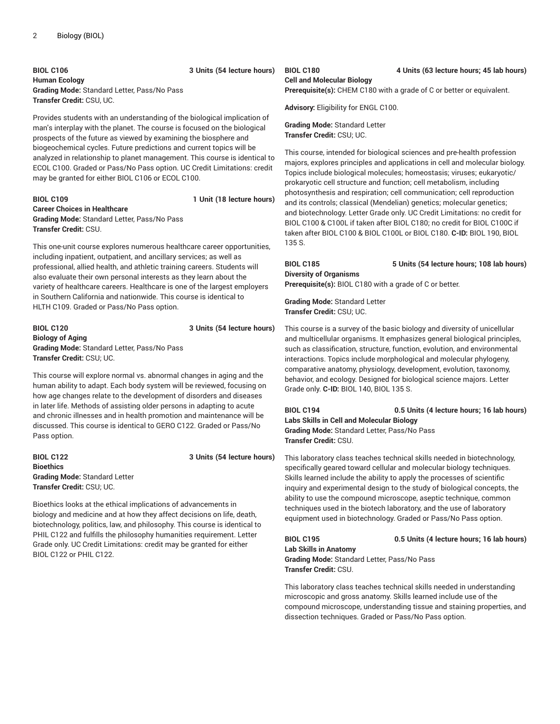**BIOL C106 3 Units (54 lecture hours) Human Ecology Grading Mode:** Standard Letter, Pass/No Pass **Transfer Credit:** CSU, UC.

Provides students with an understanding of the biological implication of man's interplay with the planet. The course is focused on the biological prospects of the future as viewed by examining the biosphere and biogeochemical cycles. Future predictions and current topics will be analyzed in relationship to planet management. This course is identical to ECOL C100. Graded or Pass/No Pass option. UC Credit Limitations: credit may be granted for either BIOL C106 or ECOL C100.

#### **BIOL C109 1 Unit (18 lecture hours) Career Choices in Healthcare Grading Mode:** Standard Letter, Pass/No Pass **Transfer Credit:** CSU.

This one-unit course explores numerous healthcare career opportunities, including inpatient, outpatient, and ancillary services; as well as professional, allied health, and athletic training careers. Students will also evaluate their own personal interests as they learn about the variety of healthcare careers. Healthcare is one of the largest employers in Southern California and nationwide. This course is identical to HLTH C109. Graded or Pass/No Pass option.

#### **BIOL C120 3 Units (54 lecture hours) Biology of Aging Grading Mode:** Standard Letter, Pass/No Pass **Transfer Credit:** CSU; UC.

This course will explore normal vs. abnormal changes in aging and the human ability to adapt. Each body system will be reviewed, focusing on how age changes relate to the development of disorders and diseases in later life. Methods of assisting older persons in adapting to acute and chronic illnesses and in health promotion and maintenance will be discussed. This course is identical to GERO C122. Graded or Pass/No Pass option.

**BIOL C122 3 Units (54 lecture hours) Bioethics Grading Mode:** Standard Letter **Transfer Credit:** CSU; UC.

Bioethics looks at the ethical implications of advancements in biology and medicine and at how they affect decisions on life, death, biotechnology, politics, law, and philosophy. This course is identical to PHIL C122 and fulfills the philosophy humanities requirement. Letter Grade only. UC Credit Limitations: credit may be granted for either BIOL C122 or PHIL C122.

### **Cell and Molecular Biology**

**Prerequisite(s):** CHEM C180 with a grade of C or better or equivalent.

**Advisory:** Eligibility for ENGL C100.

#### **Grading Mode:** Standard Letter **Transfer Credit:** CSU; UC.

This course, intended for biological sciences and pre-health profession majors, explores principles and applications in cell and molecular biology. Topics include biological molecules; homeostasis; viruses; eukaryotic/ prokaryotic cell structure and function; cell metabolism, including photosynthesis and respiration; cell communication; cell reproduction and its controls; classical (Mendelian) genetics; molecular genetics; and biotechnology. Letter Grade only. UC Credit Limitations: no credit for BIOL C100 & C100L if taken after BIOL C180; no credit for BIOL C100C if taken after BIOL C100 & BIOL C100L or BIOL C180. **C-ID:** BIOL 190, BIOL 135 S.

#### **BIOL C185 5 Units (54 lecture hours; 108 lab hours) Diversity of Organisms Prerequisite(s):** BIOL C180 with a grade of C or better.

**Grading Mode:** Standard Letter **Transfer Credit:** CSU; UC.

This course is a survey of the basic biology and diversity of unicellular and multicellular organisms. It emphasizes general biological principles, such as classification, structure, function, evolution, and environmental interactions. Topics include morphological and molecular phylogeny, comparative anatomy, physiology, development, evolution, taxonomy, behavior, and ecology. Designed for biological science majors. Letter Grade only. **C-ID:** BIOL 140, BIOL 135 S.

**BIOL C194 0.5 Units (4 lecture hours; 16 lab hours) Labs Skills in Cell and Molecular Biology Grading Mode:** Standard Letter, Pass/No Pass **Transfer Credit:** CSU.

This laboratory class teaches technical skills needed in biotechnology, specifically geared toward cellular and molecular biology techniques. Skills learned include the ability to apply the processes of scientific inquiry and experimental design to the study of biological concepts, the ability to use the compound microscope, aseptic technique, common techniques used in the biotech laboratory, and the use of laboratory equipment used in biotechnology. Graded or Pass/No Pass option.

**BIOL C195 0.5 Units (4 lecture hours; 16 lab hours)**

**Lab Skills in Anatomy Grading Mode:** Standard Letter, Pass/No Pass **Transfer Credit:** CSU.

This laboratory class teaches technical skills needed in understanding microscopic and gross anatomy. Skills learned include use of the compound microscope, understanding tissue and staining properties, and dissection techniques. Graded or Pass/No Pass option.

#### **BIOL C180 4 Units (63 lecture hours; 45 lab hours)**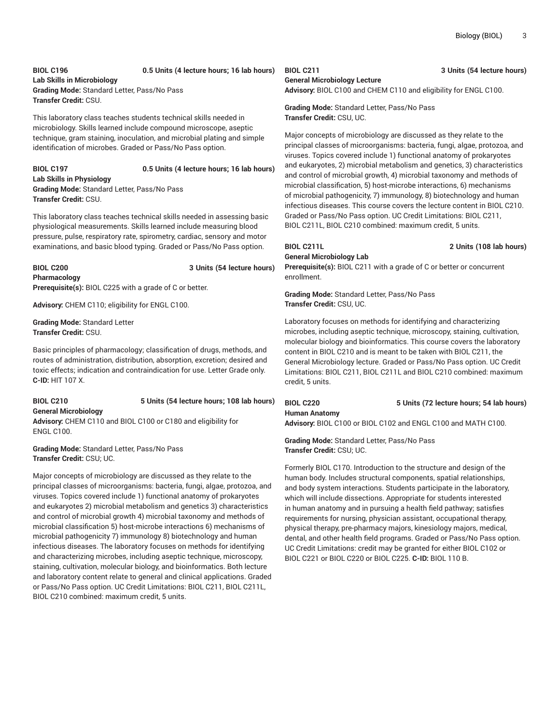#### **BIOL C196 0.5 Units (4 lecture hours; 16 lab hours) Lab Skills in Microbiology Grading Mode:** Standard Letter, Pass/No Pass **Transfer Credit:** CSU.

This laboratory class teaches students technical skills needed in microbiology. Skills learned include compound microscope, aseptic technique, gram staining, inoculation, and microbial plating and simple identification of microbes. Graded or Pass/No Pass option.

#### **BIOL C197 0.5 Units (4 lecture hours; 16 lab hours) Lab Skills in Physiology Grading Mode:** Standard Letter, Pass/No Pass **Transfer Credit:** CSU.

This laboratory class teaches technical skills needed in assessing basic physiological measurements. Skills learned include measuring blood pressure, pulse, respiratory rate, spirometry, cardiac, sensory and motor examinations, and basic blood typing. Graded or Pass/No Pass option.

### **BIOL C200 3 Units (54 lecture hours) Pharmacology**

**Prerequisite(s):** BIOL C225 with a grade of C or better.

**Advisory:** CHEM C110; eligibility for ENGL C100.

**Grading Mode:** Standard Letter **Transfer Credit:** CSU.

Basic principles of pharmacology; classification of drugs, methods, and routes of administration, distribution, absorption, excretion; desired and toxic effects; indication and contraindication for use. Letter Grade only. **C-ID:** HIT 107 X.

#### **BIOL C210 5 Units (54 lecture hours; 108 lab hours) General Microbiology Advisory:** CHEM C110 and BIOL C100 or C180 and eligibility for ENGL C100.

**Grading Mode:** Standard Letter, Pass/No Pass **Transfer Credit:** CSU; UC.

Major concepts of microbiology are discussed as they relate to the principal classes of microorganisms: bacteria, fungi, algae, protozoa, and viruses. Topics covered include 1) functional anatomy of prokaryotes and eukaryotes 2) microbial metabolism and genetics 3) characteristics and control of microbial growth 4) microbial taxonomy and methods of microbial classification 5) host-microbe interactions 6) mechanisms of microbial pathogenicity 7) immunology 8) biotechnology and human infectious diseases. The laboratory focuses on methods for identifying and characterizing microbes, including aseptic technique, microscopy, staining, cultivation, molecular biology, and bioinformatics. Both lecture and laboratory content relate to general and clinical applications. Graded or Pass/No Pass option. UC Credit Limitations: BIOL C211, BIOL C211L, BIOL C210 combined: maximum credit, 5 units.

#### **BIOL C211 3 Units (54 lecture hours) General Microbiology Lecture**

**Advisory:** BIOL C100 and CHEM C110 and eligibility for ENGL C100.

**Grading Mode:** Standard Letter, Pass/No Pass **Transfer Credit:** CSU, UC.

Major concepts of microbiology are discussed as they relate to the principal classes of microorganisms: bacteria, fungi, algae, protozoa, and viruses. Topics covered include 1) functional anatomy of prokaryotes and eukaryotes, 2) microbial metabolism and genetics, 3) characteristics and control of microbial growth, 4) microbial taxonomy and methods of microbial classification, 5) host-microbe interactions, 6) mechanisms of microbial pathogenicity, 7) immunology, 8) biotechnology and human infectious diseases. This course covers the lecture content in BIOL C210. Graded or Pass/No Pass option. UC Credit Limitations: BIOL C211, BIOL C211L, BIOL C210 combined: maximum credit, 5 units.

## **General Microbiology Lab**

**BIOL C211L 2 Units (108 lab hours)**

**Prerequisite(s):** BIOL C211 with a grade of C or better or concurrent enrollment.

**Grading Mode:** Standard Letter, Pass/No Pass **Transfer Credit:** CSU, UC.

Laboratory focuses on methods for identifying and characterizing microbes, including aseptic technique, microscopy, staining, cultivation, molecular biology and bioinformatics. This course covers the laboratory content in BIOL C210 and is meant to be taken with BIOL C211, the General Microbiology lecture. Graded or Pass/No Pass option. UC Credit Limitations: BIOL C211, BIOL C211L and BIOL C210 combined: maximum credit, 5 units.

## **Human Anatomy**

**BIOL C220 5 Units (72 lecture hours; 54 lab hours)**

**Advisory:** BIOL C100 or BIOL C102 and ENGL C100 and MATH C100.

#### **Grading Mode:** Standard Letter, Pass/No Pass **Transfer Credit:** CSU; UC.

Formerly BIOL C170. Introduction to the structure and design of the human body. Includes structural components, spatial relationships, and body system interactions. Students participate in the laboratory, which will include dissections. Appropriate for students interested in human anatomy and in pursuing a health field pathway; satisfies requirements for nursing, physician assistant, occupational therapy, physical therapy, pre-pharmacy majors, kinesiology majors, medical, dental, and other health field programs. Graded or Pass/No Pass option. UC Credit Limitations: credit may be granted for either BIOL C102 or BIOL C221 or BIOL C220 or BIOL C225. **C-ID:** BIOL 110 B.